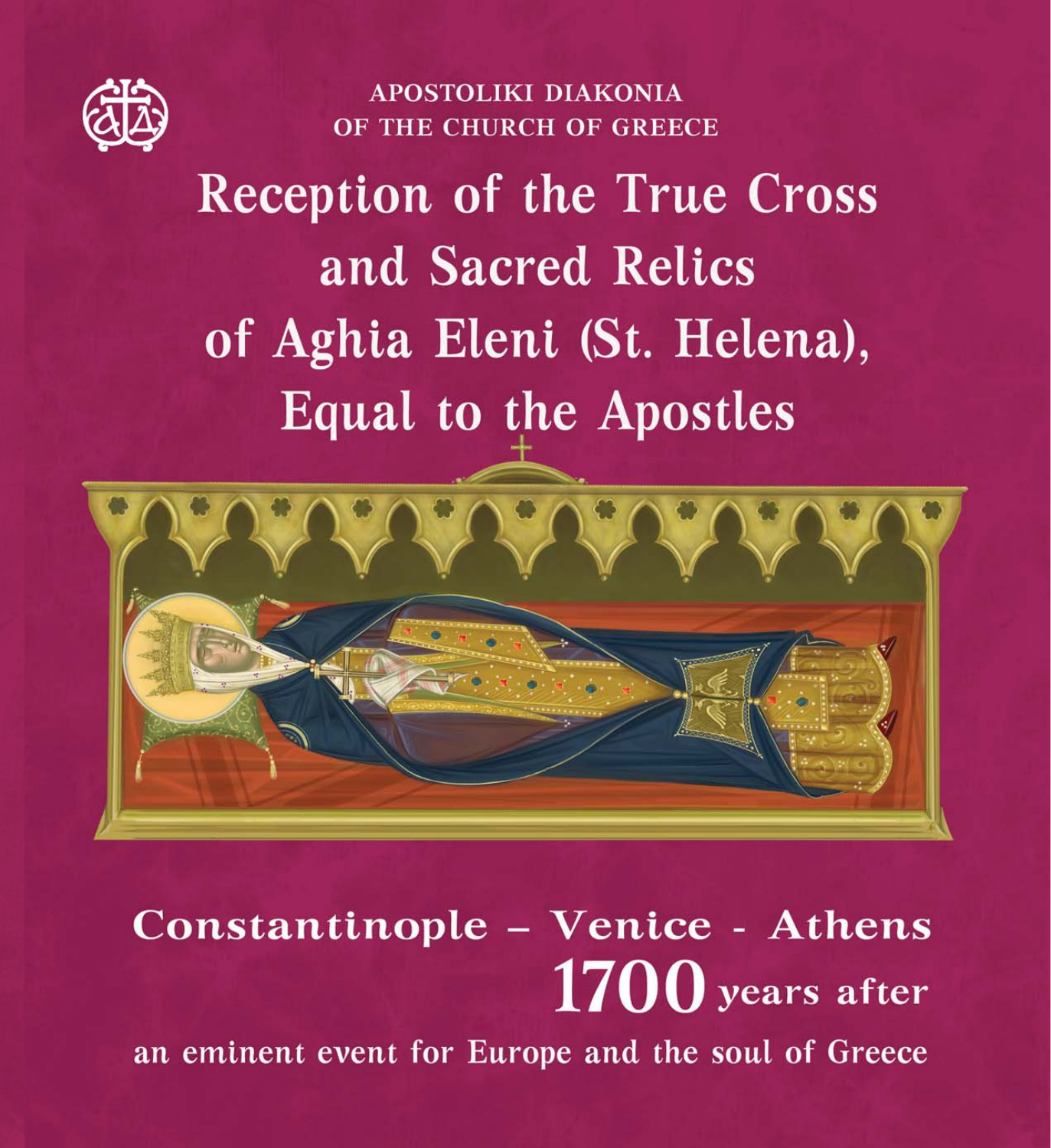

**APOSTOLIKI DIAKONIA** OF THE CHURCH OF GREECE

# **Reception of the True Cross** and Sacred Relics of Aghia Eleni (St. Helena), **Equal to the Apostles**



# Constantinople - Venice - Athens  $1700$  years after an eminent event for Europe and the soul of Greece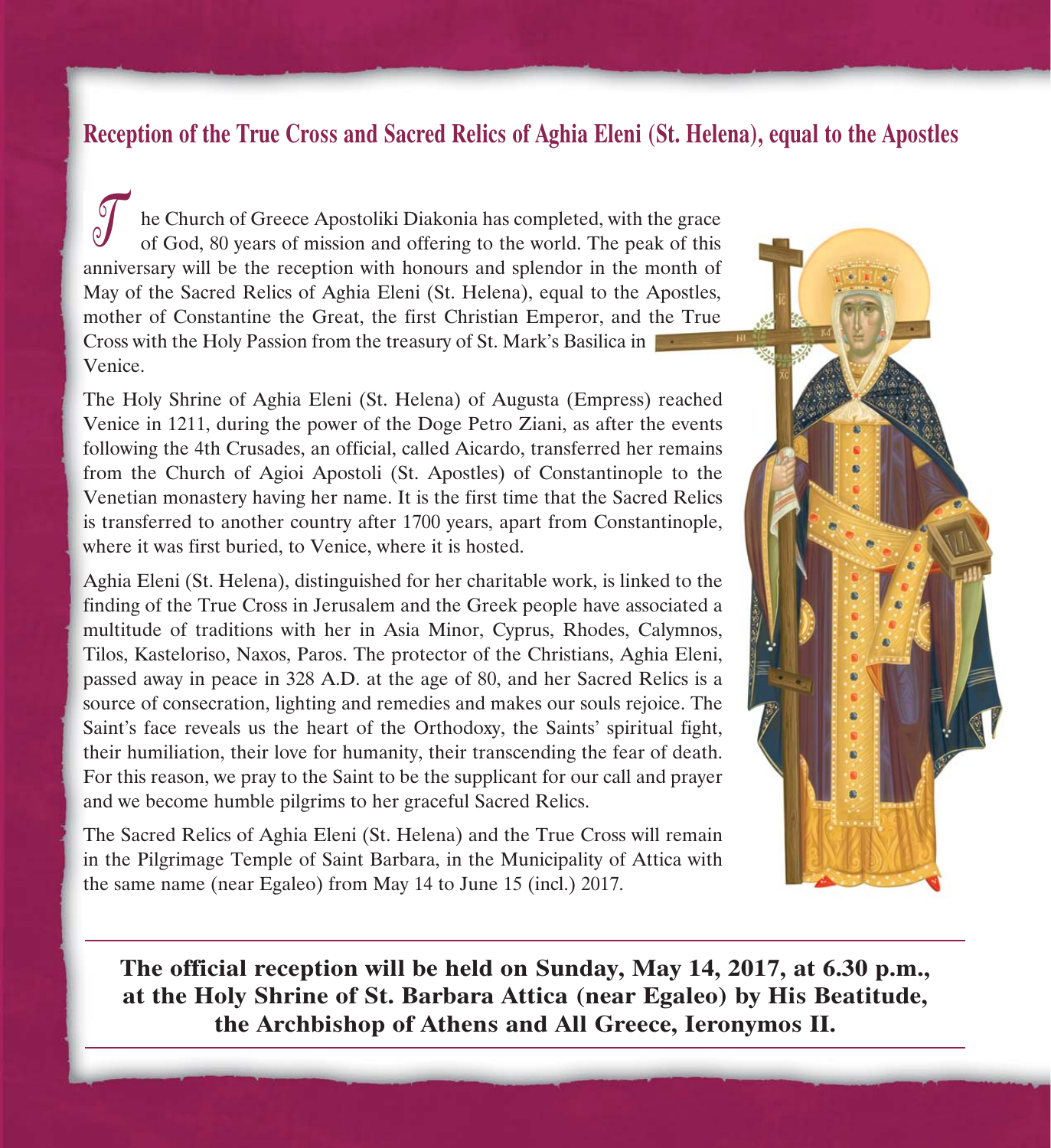# **Reception of the True Cross and Sacred Relics of Aghia Eleni (St. Helena), equal to the Apostles**

 $\mathcal{O}$ he Church of Greece Apostoliki Diakonia has completed, with the grace of God, 80 years of mission and offering to the world. The peak of this anniversary will be the reception with honours and splendor in the month of May of the Sacred Relics of Aghia Eleni (St. Helena), equal to the Apostles, mother of Constantine the Great, the first Christian Emperor, and the True Cross with the Holy Passion from the treasury of St. Mark's Basilica in Venice.

The Holy Shrine of Aghia Eleni (St. Helena) of Augusta (Empress) reached Venice in 1211, during the power of the Doge Petro Ziani, as after the events following the 4th Crusades, an official, called Aicardo, transferred her remains from the Church of Agioi Apostoli (St. Apostles) of Constantinople to the Venetian monastery having her name. It is the first time that the Sacred Relics is transferred to another country after 1700 years, apart from Constantinople, where it was first buried, to Venice, where it is hosted.

Aghia Eleni (St. Helena), distinguished for her charitable work, is linked to the finding of the True Cross in Jerusalem and the Greek people have associated a multitude of traditions with her in Asia Minor, Cyprus, Rhodes, Calymnos, Tilos, Kasteloriso, Naxos, Paros. The protector of the Christians, Aghia Eleni, passed away in peace in 328 A.D. at the age of 80, and her Sacred Relics is a source of consecration, lighting and remedies and makes our souls rejoice. The Saint's face reveals us the heart of the Orthodoxy, the Saints' spiritual fight, their humiliation, their love for humanity, their transcending the fear of death. For this reason, we pray to the Saint to be the supplicant for our call and prayer and we become humble pilgrims to her graceful Sacred Relics.

The Sacred Relics of Aghia Eleni (St. Helena) and the True Cross will remain in the Pilgrimage Temple of Saint Barbara, in the Municipality of Attica with the same name (near Egaleo) from May 14 to June 15 (incl.) 2017.



**The official reception will be held on Sunday, May 14, 2017, at 6.30 p.m., at the Holy Shrine of St. Barbara Attica (near Egaleo) by His Beatitude, the Archbishop of Athens and All Greece, Ieronymos II.**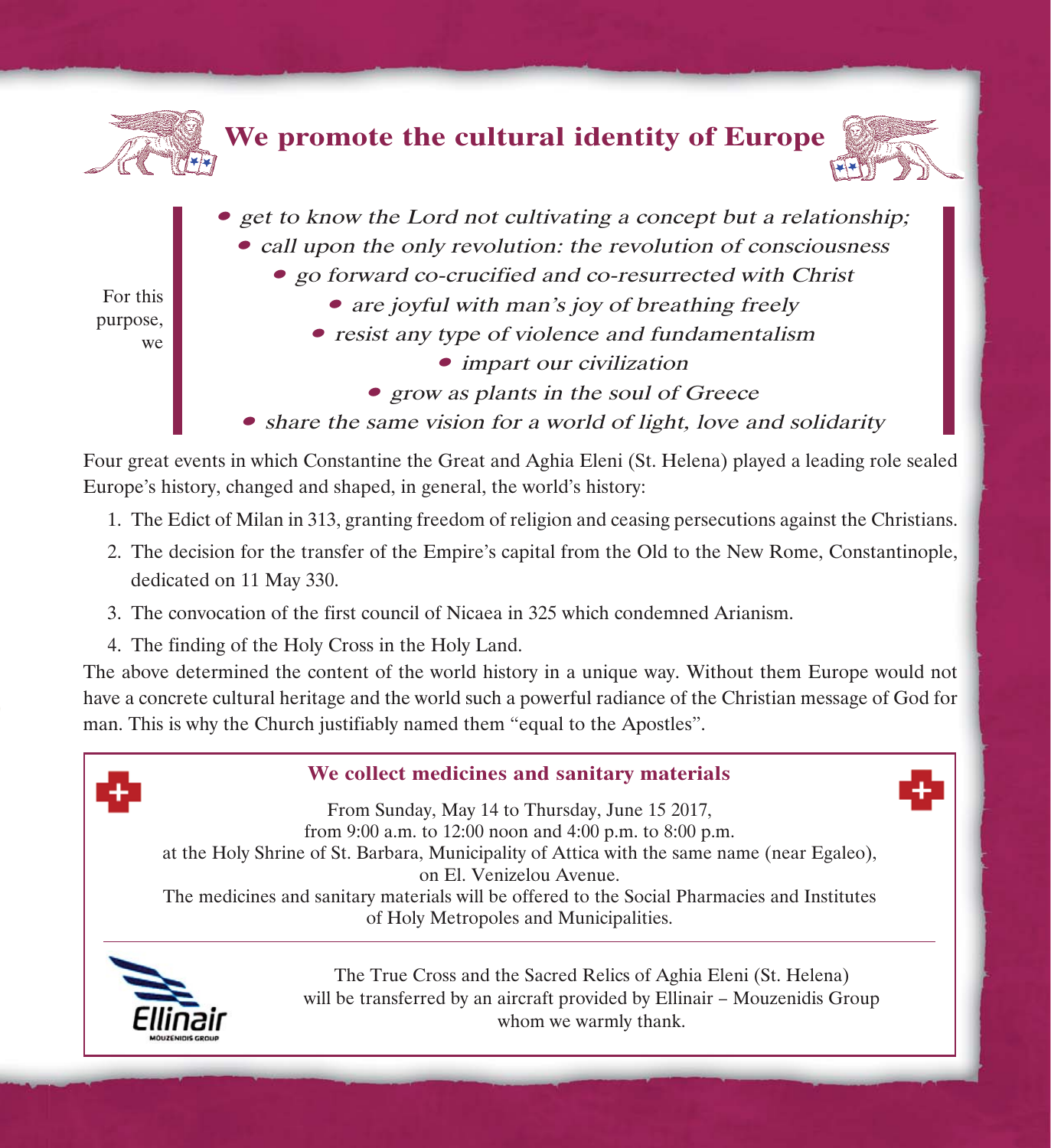

- *impart our civilization*
- grow as plants in the soul of Greece
- share the same vision for a world of light, love and solidarity

Four great events in which Constantine the Great and Aghia Eleni (St. Helena) played a leading role sealed Europe's history, changed and shaped, in general, the world's history:

- 1. The Edict of Milan in 313, granting freedom of religion and ceasing persecutions against the Christians.
- 2. The decision for the transfer of the Empire's capital from the Old to the New Rome, Constantinople, dedicated on 11 May 330.
- 3. The convocation of the first council of Nicaea in 325 which condemned Arianism.
- 4. The finding of the Holy Cross in the Holy Land.

The above determined the content of the world history in a unique way. Without them Europe would not have a concrete cultural heritage and the world such a powerful radiance of the Christian message of God for man. This is why the Church justifiably named them "equal to the Apostles".



# **We collect medicines and sanitary materials**

From Sunday, May 14 to Thursday, June 15 2017, from 9:00 a.m. to 12:00 noon and 4:00 p.m. to 8:00 p.m. at the Holy Shrine of St. Barbara, Municipality of Attica with the same name (near Egaleo), on El. Venizelou Avenue. The medicines and sanitary materials will be offered to the Social Pharmacies and Institutes of Holy Metropoles and Municipalities.



The True Cross and the Sacred Relics of Aghia Eleni (St. Helena) will be transferred by an aircraft provided by Ellinair - Mouzenidis Group whom we warmly thank.